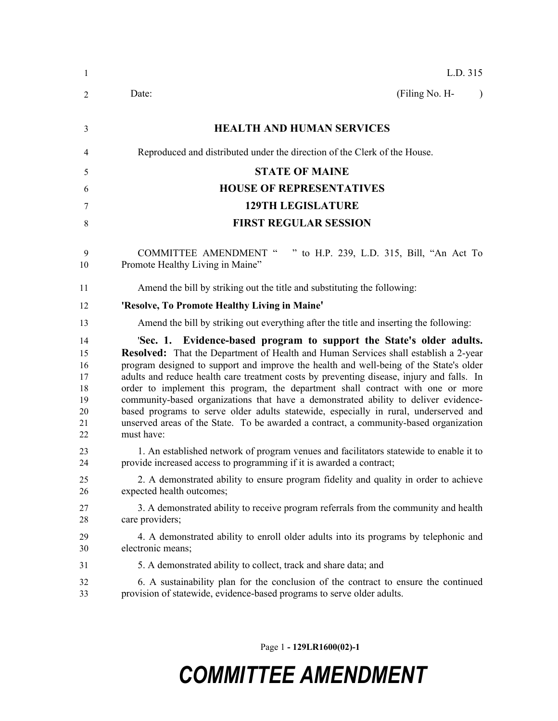| 1                                                  | L.D. 315                                                                                                                                                                                                                                                                                                                                                                                                                                                                                                                                                                                                                                                                                                                    |
|----------------------------------------------------|-----------------------------------------------------------------------------------------------------------------------------------------------------------------------------------------------------------------------------------------------------------------------------------------------------------------------------------------------------------------------------------------------------------------------------------------------------------------------------------------------------------------------------------------------------------------------------------------------------------------------------------------------------------------------------------------------------------------------------|
| $\overline{2}$                                     | (Filing No. H-<br>Date:<br>$\lambda$                                                                                                                                                                                                                                                                                                                                                                                                                                                                                                                                                                                                                                                                                        |
| 3                                                  | <b>HEALTH AND HUMAN SERVICES</b>                                                                                                                                                                                                                                                                                                                                                                                                                                                                                                                                                                                                                                                                                            |
| 4                                                  | Reproduced and distributed under the direction of the Clerk of the House.                                                                                                                                                                                                                                                                                                                                                                                                                                                                                                                                                                                                                                                   |
| 5                                                  | <b>STATE OF MAINE</b>                                                                                                                                                                                                                                                                                                                                                                                                                                                                                                                                                                                                                                                                                                       |
| 6                                                  | <b>HOUSE OF REPRESENTATIVES</b>                                                                                                                                                                                                                                                                                                                                                                                                                                                                                                                                                                                                                                                                                             |
| 7                                                  | <b>129TH LEGISLATURE</b>                                                                                                                                                                                                                                                                                                                                                                                                                                                                                                                                                                                                                                                                                                    |
| $\,$ 8 $\,$                                        | <b>FIRST REGULAR SESSION</b>                                                                                                                                                                                                                                                                                                                                                                                                                                                                                                                                                                                                                                                                                                |
| 9<br>10                                            | <b>COMMITTEE AMENDMENT "</b><br>to H.P. 239, L.D. 315, Bill, "An Act To<br>Promote Healthy Living in Maine"                                                                                                                                                                                                                                                                                                                                                                                                                                                                                                                                                                                                                 |
| 11                                                 | Amend the bill by striking out the title and substituting the following:                                                                                                                                                                                                                                                                                                                                                                                                                                                                                                                                                                                                                                                    |
| 12                                                 | 'Resolve, To Promote Healthy Living in Maine'                                                                                                                                                                                                                                                                                                                                                                                                                                                                                                                                                                                                                                                                               |
| 13                                                 | Amend the bill by striking out everything after the title and inserting the following:                                                                                                                                                                                                                                                                                                                                                                                                                                                                                                                                                                                                                                      |
| 14<br>15<br>16<br>17<br>18<br>19<br>20<br>21<br>22 | 'Sec. 1. Evidence-based program to support the State's older adults.<br>Resolved: That the Department of Health and Human Services shall establish a 2-year<br>program designed to support and improve the health and well-being of the State's older<br>adults and reduce health care treatment costs by preventing disease, injury and falls. In<br>order to implement this program, the department shall contract with one or more<br>community-based organizations that have a demonstrated ability to deliver evidence-<br>based programs to serve older adults statewide, especially in rural, underserved and<br>unserved areas of the State. To be awarded a contract, a community-based organization<br>must have: |
| 23<br>24                                           | 1. An established network of program venues and facilitators statewide to enable it to<br>provide increased access to programming if it is awarded a contract;                                                                                                                                                                                                                                                                                                                                                                                                                                                                                                                                                              |
| 25<br>26                                           | 2. A demonstrated ability to ensure program fidelity and quality in order to achieve<br>expected health outcomes;                                                                                                                                                                                                                                                                                                                                                                                                                                                                                                                                                                                                           |
| 27<br>28                                           | 3. A demonstrated ability to receive program referrals from the community and health<br>care providers;                                                                                                                                                                                                                                                                                                                                                                                                                                                                                                                                                                                                                     |
| 29<br>30                                           | 4. A demonstrated ability to enroll older adults into its programs by telephonic and<br>electronic means;                                                                                                                                                                                                                                                                                                                                                                                                                                                                                                                                                                                                                   |
| 31                                                 | 5. A demonstrated ability to collect, track and share data; and                                                                                                                                                                                                                                                                                                                                                                                                                                                                                                                                                                                                                                                             |
| 32<br>33                                           | 6. A sustainability plan for the conclusion of the contract to ensure the continued<br>provision of statewide, evidence-based programs to serve older adults.                                                                                                                                                                                                                                                                                                                                                                                                                                                                                                                                                               |

Page 1 **- 129LR1600(02)-1**

# *COMMITTEE AMENDMENT*